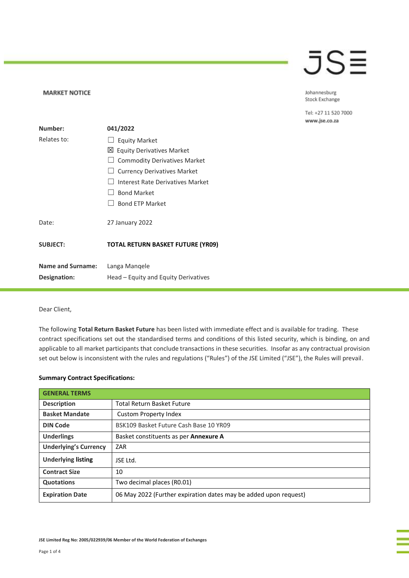## JSE

### Johannesburg Stock Exchange

Tel: +27 11 520 7000 www.jse.co.za

| Number:                  | 041/2022                                 |  |  |
|--------------------------|------------------------------------------|--|--|
| Relates to:              | $\Box$ Equity Market                     |  |  |
|                          | <b>Equity Derivatives Market</b><br>⊠ା   |  |  |
|                          | <b>Commodity Derivatives Market</b>      |  |  |
|                          | <b>Currency Derivatives Market</b>       |  |  |
|                          | Interest Rate Derivatives Market         |  |  |
|                          | <b>Bond Market</b>                       |  |  |
|                          | <b>Bond ETP Market</b>                   |  |  |
| Date:                    | 27 January 2022                          |  |  |
| <b>SUBJECT:</b>          | <b>TOTAL RETURN BASKET FUTURE (YR09)</b> |  |  |
| <b>Name and Surname:</b> | Langa Mangele                            |  |  |
| <b>Designation:</b>      | Head – Equity and Equity Derivatives     |  |  |

## Dear Client,

**MARKET NOTICE** 

The following **Total Return Basket Future** has been listed with immediate effect and is available for trading. These contract specifications set out the standardised terms and conditions of this listed security, which is binding, on and applicable to all market participants that conclude transactions in these securities. Insofar as any contractual provision set out below is inconsistent with the rules and regulations ("Rules") of the JSE Limited ("JSE"), the Rules will prevail.

## **Summary Contract Specifications:**

| <b>GENERAL TERMS</b>         |                                                                  |  |
|------------------------------|------------------------------------------------------------------|--|
| <b>Description</b>           | <b>Total Return Basket Future</b>                                |  |
| <b>Basket Mandate</b>        | Custom Property Index                                            |  |
| <b>DIN Code</b>              | BSK109 Basket Future Cash Base 10 YR09                           |  |
| <b>Underlings</b>            | Basket constituents as per Annexure A                            |  |
| <b>Underlying's Currency</b> | ZAR                                                              |  |
| <b>Underlying listing</b>    | ISE I td.                                                        |  |
| <b>Contract Size</b>         | 10                                                               |  |
| <b>Quotations</b>            | Two decimal places (R0.01)                                       |  |
| <b>Expiration Date</b>       | 06 May 2022 (Further expiration dates may be added upon request) |  |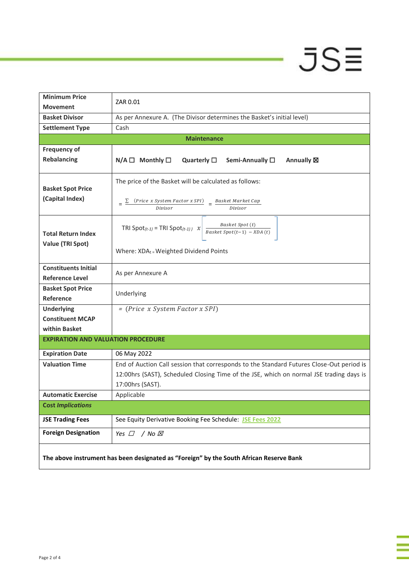# $-$  JS $\equiv$

| <b>Minimum Price</b>                                                                    | ZAR 0.01                                                                                                       |  |  |  |  |
|-----------------------------------------------------------------------------------------|----------------------------------------------------------------------------------------------------------------|--|--|--|--|
| <b>Movement</b>                                                                         |                                                                                                                |  |  |  |  |
| <b>Basket Divisor</b>                                                                   | As per Annexure A. (The Divisor determines the Basket's initial level)                                         |  |  |  |  |
| <b>Settlement Type</b>                                                                  | Cash                                                                                                           |  |  |  |  |
|                                                                                         | <b>Maintenance</b>                                                                                             |  |  |  |  |
| <b>Frequency of</b>                                                                     |                                                                                                                |  |  |  |  |
| <b>Rebalancing</b>                                                                      | Monthly $\square$<br>$N/A$ $\square$<br>Quarterly $\square$<br>Semi-Annually □<br>Annually <b>図</b>            |  |  |  |  |
| <b>Basket Spot Price</b>                                                                | The price of the Basket will be calculated as follows:                                                         |  |  |  |  |
| (Capital Index)                                                                         | $=\frac{\sum (Price \ x System Factor x SPI)}{2} = \frac{Baseet Market Cap}{2}$<br>Divisor<br>Divisor          |  |  |  |  |
| <b>Total Return Index</b><br><b>Value (TRI Spot)</b>                                    | Basket Spot (t)<br>TRI Spot <sub>(t-1)</sub> = TRI Spot <sub>(t-1)</sub> $\chi$<br>Basket Spot(t-1) - $XDA(t)$ |  |  |  |  |
|                                                                                         | Where: XDAt = Weighted Dividend Points                                                                         |  |  |  |  |
| <b>Constituents Initial</b><br><b>Reference Level</b>                                   | As per Annexure A                                                                                              |  |  |  |  |
| <b>Basket Spot Price</b>                                                                |                                                                                                                |  |  |  |  |
| Reference                                                                               | Underlying                                                                                                     |  |  |  |  |
| <b>Underlying</b>                                                                       | = (Price x System Factor x SPI)                                                                                |  |  |  |  |
| <b>Constituent MCAP</b>                                                                 |                                                                                                                |  |  |  |  |
| within Basket                                                                           |                                                                                                                |  |  |  |  |
| <b>EXPIRATION AND VALUATION PROCEDURE</b>                                               |                                                                                                                |  |  |  |  |
| <b>Expiration Date</b>                                                                  | 06 May 2022                                                                                                    |  |  |  |  |
| <b>Valuation Time</b>                                                                   | End of Auction Call session that corresponds to the Standard Futures Close-Out period is                       |  |  |  |  |
|                                                                                         | 12:00hrs (SAST), Scheduled Closing Time of the JSE, which on normal JSE trading days is                        |  |  |  |  |
|                                                                                         | 17:00hrs (SAST).                                                                                               |  |  |  |  |
| <b>Automatic Exercise</b>                                                               | Applicable                                                                                                     |  |  |  |  |
| <b>Cost Implications</b>                                                                |                                                                                                                |  |  |  |  |
| <b>JSE Trading Fees</b>                                                                 | See Equity Derivative Booking Fee Schedule: JSE Fees 2022                                                      |  |  |  |  |
| <b>Foreign Designation</b>                                                              | Yes $\Box$<br>/ No ⊠                                                                                           |  |  |  |  |
| The above instrument has been designated as "Foreign" by the South African Reserve Bank |                                                                                                                |  |  |  |  |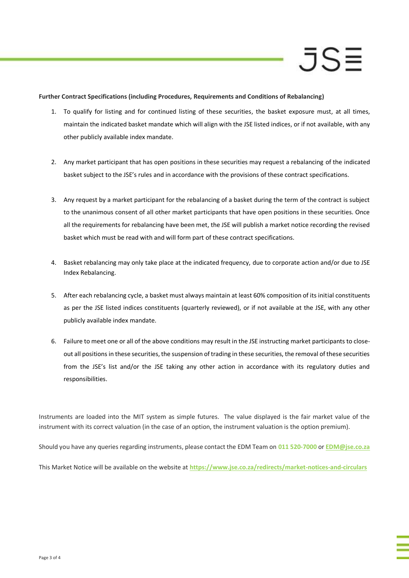## JS≡

**Further Contract Specifications (including Procedures, Requirements and Conditions of Rebalancing)**

- 1. To qualify for listing and for continued listing of these securities, the basket exposure must, at all times, maintain the indicated basket mandate which will align with the JSE listed indices, or if not available, with any other publicly available index mandate.
- 2. Any market participant that has open positions in these securities may request a rebalancing of the indicated basket subject to the JSE's rules and in accordance with the provisions of these contract specifications.
- 3. Any request by a market participant for the rebalancing of a basket during the term of the contract is subject to the unanimous consent of all other market participants that have open positions in these securities. Once all the requirements for rebalancing have been met, the JSE will publish a market notice recording the revised basket which must be read with and will form part of these contract specifications.
- 4. Basket rebalancing may only take place at the indicated frequency, due to corporate action and/or due to JSE Index Rebalancing.
- 5. After each rebalancing cycle, a basket must always maintain at least 60% composition of its initial constituents as per the JSE listed indices constituents (quarterly reviewed), or if not available at the JSE, with any other publicly available index mandate.
- 6. Failure to meet one or all of the above conditions may result in the JSE instructing market participants to closeout all positions in these securities, the suspension of trading in these securities, the removal of these securities from the JSE's list and/or the JSE taking any other action in accordance with its regulatory duties and responsibilities.

Instruments are loaded into the MIT system as simple futures. The value displayed is the fair market value of the instrument with its correct valuation (in the case of an option, the instrument valuation is the option premium).

Should you have any queries regarding instruments, please contact the EDM Team on **011 520-7000** or **[EDM@jse.co.za](mailto:structuredproducts@jse.co.za)**

This Market Notice will be available on the website at **<https://www.jse.co.za/redirects/market-notices-and-circulars>**